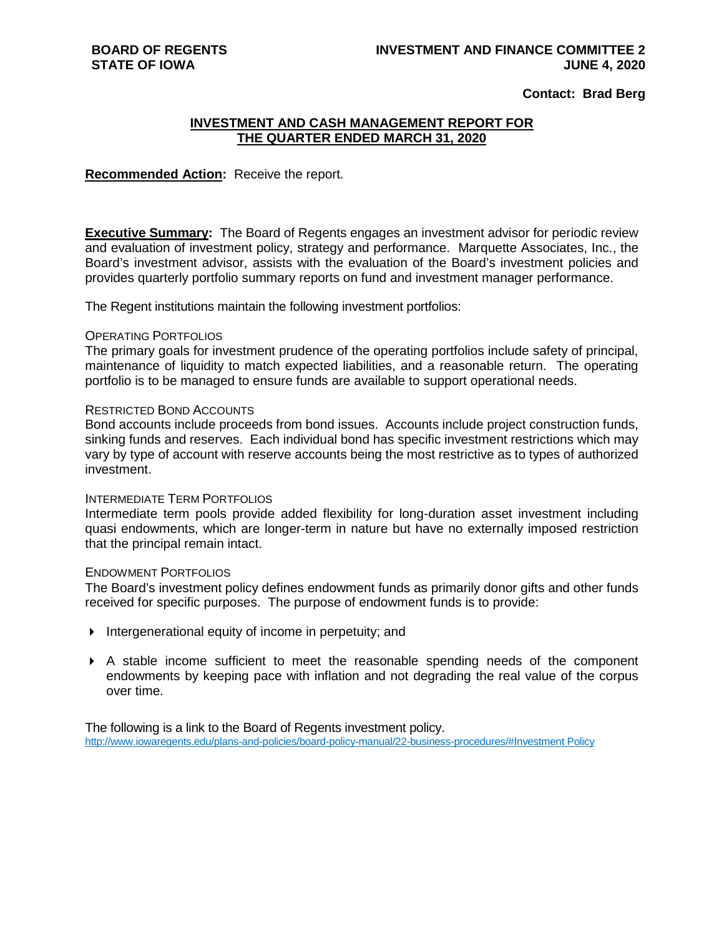### **Contact: Brad Berg**

## **INVESTMENT AND CASH MANAGEMENT REPORT FOR THE QUARTER ENDED MARCH 31, 2020**

### **Recommended Action:** Receive the report.

**Executive Summary:** The Board of Regents engages an investment advisor for periodic review and evaluation of investment policy, strategy and performance. Marquette Associates, Inc., the Board's investment advisor, assists with the evaluation of the Board's investment policies and provides quarterly portfolio summary reports on fund and investment manager performance.

The Regent institutions maintain the following investment portfolios:

#### OPERATING PORTFOLIOS

The primary goals for investment prudence of the operating portfolios include safety of principal, maintenance of liquidity to match expected liabilities, and a reasonable return. The operating portfolio is to be managed to ensure funds are available to support operational needs.

### RESTRICTED BOND ACCOUNTS

Bond accounts include proceeds from bond issues. Accounts include project construction funds, sinking funds and reserves. Each individual bond has specific investment restrictions which may vary by type of account with reserve accounts being the most restrictive as to types of authorized investment.

#### INTERMEDIATE TERM PORTFOLIOS

Intermediate term pools provide added flexibility for long-duration asset investment including quasi endowments, which are longer-term in nature but have no externally imposed restriction that the principal remain intact.

#### ENDOWMENT PORTFOLIOS

The Board's investment policy defines endowment funds as primarily donor gifts and other funds received for specific purposes. The purpose of endowment funds is to provide:

- Intergenerational equity of income in perpetuity; and
- A stable income sufficient to meet the reasonable spending needs of the component endowments by keeping pace with inflation and not degrading the real value of the corpus over time.

The following is a link to the Board of Regents investment policy. [http://www.iowaregents.edu/plans-and-policies/board-policy-manual/22-business-procedures/#Investment Policy](http://www.iowaregents.edu/plans-and-policies/board-policy-manual/22-business-procedures/%23Investment%20Policy)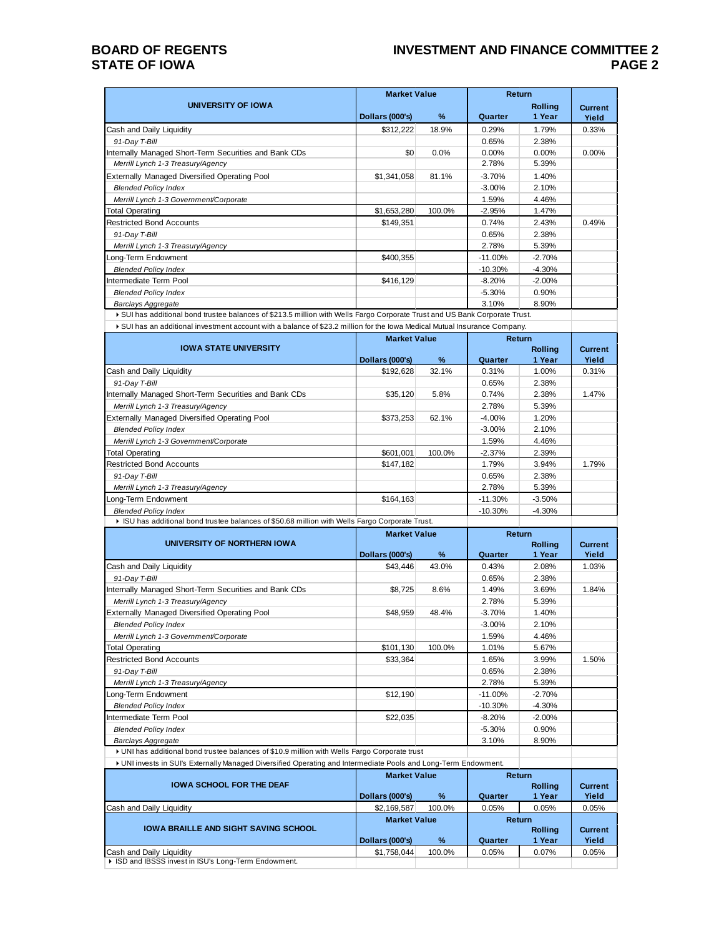## **BOARD OF REGENTS STATE OF IOWA**

## **INVESTMENT AND FINANCE COMMITTEE 2 PAGE 2**

|                                                       | <b>Market Value</b> |        | <b>Return</b> |                          |                         |
|-------------------------------------------------------|---------------------|--------|---------------|--------------------------|-------------------------|
| UNIVERSITY OF IOWA                                    | Dollars (000's)     | $\%$   | Quarter       | <b>Rolling</b><br>1 Year | <b>Current</b><br>Yield |
| Cash and Daily Liquidity                              | \$312,222           | 18.9%  | 0.29%         | 1.79%                    | 0.33%                   |
| 91-Day T-Bill                                         |                     |        | 0.65%         | 2.38%                    |                         |
| Internally Managed Short-Term Securities and Bank CDs | \$0                 | 0.0%   | $0.00\%$      | $0.00\%$                 | 0.00%                   |
| Merrill Lynch 1-3 Treasury/Agency                     |                     |        | 2.78%         | 5.39%                    |                         |
| <b>Externally Managed Diversified Operating Pool</b>  | \$1,341,058         | 81.1%  | $-3.70%$      | 1.40%                    |                         |
| <b>Blended Policy Index</b>                           |                     |        | $-3.00%$      | 2.10%                    |                         |
| Merrill Lynch 1-3 Government/Corporate                |                     |        | 1.59%         | 4.46%                    |                         |
| <b>Total Operating</b>                                | \$1,653,280         | 100.0% | $-2.95%$      | 1.47%                    |                         |
| <b>Restricted Bond Accounts</b>                       | \$149,351           |        | 0.74%         | 2.43%                    | 0.49%                   |
| 91-Day T-Bill                                         |                     |        | 0.65%         | 2.38%                    |                         |
| Merrill Lynch 1-3 Treasury/Agency                     |                     |        | 2.78%         | 5.39%                    |                         |
| Long-Term Endowment                                   | \$400,355           |        | $-11.00\%$    | $-2.70%$                 |                         |
| <b>Blended Policy Index</b>                           |                     |        | $-10.30%$     | $-4.30%$                 |                         |
| Intermediate Term Pool                                | \$416.129           |        | $-8.20%$      | $-2.00\%$                |                         |
| <b>Blended Policy Index</b>                           |                     |        | $-5.30%$      | 0.90%                    |                         |
| Barclays Aggregate                                    |                     |        | 3.10%         | 8.90%                    |                         |

SUI has additional bond trustee balances of \$213.5 million with Wells Fargo Corporate Trust and US Bank Corporate Trust. SUI has an additional investment account with a balance of \$23.2 million for the Iowa Medical Mutual Insurance Company.

|                                                                                                 |                 | <b>Market Value</b> |           | <b>Return</b>  |                |
|-------------------------------------------------------------------------------------------------|-----------------|---------------------|-----------|----------------|----------------|
| <b>IOWA STATE UNIVERSITY</b>                                                                    |                 |                     |           | <b>Rolling</b> | <b>Current</b> |
|                                                                                                 | Dollars (000's) | $\frac{9}{6}$       | Quarter   | 1 Year         | Yield          |
| Cash and Daily Liquidity                                                                        | \$192.628       | 32.1%               | 0.31%     | 1.00%          | 0.31%          |
| 91-Day T-Bill                                                                                   |                 |                     | 0.65%     | 2.38%          |                |
| Internally Managed Short-Term Securities and Bank CDs                                           | \$35,120        | 5.8%                | 0.74%     | 2.38%          | 1.47%          |
| Merrill Lynch 1-3 Treasury/Agency                                                               |                 |                     | 2.78%     | 5.39%          |                |
| Externally Managed Diversified Operating Pool                                                   | \$373,253       | 62.1%               | $-4.00%$  | 1.20%          |                |
| <b>Blended Policy Index</b>                                                                     |                 |                     | $-3.00%$  | 2.10%          |                |
| Merrill Lynch 1-3 Government/Corporate                                                          |                 |                     | 1.59%     | 4.46%          |                |
| <b>Total Operating</b>                                                                          | \$601,001       | 100.0%              | $-2.37%$  | 2.39%          |                |
| <b>Restricted Bond Accounts</b>                                                                 | \$147,182       |                     | 1.79%     | 3.94%          | 1.79%          |
| 91-Day T-Bill                                                                                   |                 |                     | 0.65%     | 2.38%          |                |
| Merrill Lynch 1-3 Treasury/Agency                                                               |                 |                     | 2.78%     | 5.39%          |                |
| Long-Term Endowment                                                                             | \$164,163       |                     | $-11.30%$ | $-3.50%$       |                |
| <b>Blended Policy Index</b>                                                                     |                 |                     | $-10.30%$ | $-4.30%$       |                |
| ▶ ISU has additional bond trustee balances of \$50.68 million with Wells Fargo Corporate Trust. |                 |                     |           |                |                |

|                                                                                               | <b>Market Value</b> |               | Return    |                |                |
|-----------------------------------------------------------------------------------------------|---------------------|---------------|-----------|----------------|----------------|
| UNIVERSITY OF NORTHERN IOWA                                                                   |                     |               |           | <b>Rolling</b> | <b>Current</b> |
|                                                                                               | Dollars (000's)     | $\frac{9}{6}$ | Quarter   | 1 Year         | Yield          |
| Cash and Daily Liquidity                                                                      | \$43,446            | 43.0%         | 0.43%     | 2.08%          | 1.03%          |
| 91-Day T-Bill                                                                                 |                     |               | 0.65%     | 2.38%          |                |
| Internally Managed Short-Term Securities and Bank CDs                                         | \$8,725             | 8.6%          | 1.49%     | 3.69%          | 1.84%          |
| Merrill Lynch 1-3 Treasury/Agency                                                             |                     |               | 2.78%     | 5.39%          |                |
| <b>Externally Managed Diversified Operating Pool</b>                                          | \$48.959            | 48.4%         | $-3.70%$  | 1.40%          |                |
| <b>Blended Policy Index</b>                                                                   |                     |               | $-3.00%$  | 2.10%          |                |
| Merrill Lynch 1-3 Government/Corporate                                                        |                     |               | 1.59%     | 4.46%          |                |
| <b>Total Operating</b>                                                                        | \$101,130           | 100.0%        | 1.01%     | 5.67%          |                |
| <b>Restricted Bond Accounts</b>                                                               | \$33,364            |               | 1.65%     | 3.99%          | 1.50%          |
| 91-Day T-Bill                                                                                 |                     |               | 0.65%     | 2.38%          |                |
| Merrill Lynch 1-3 Treasury/Agency                                                             |                     |               | 2.78%     | 5.39%          |                |
| Long-Term Endowment                                                                           | \$12,190            |               | $-11.00%$ | $-2.70%$       |                |
| <b>Blended Policy Index</b>                                                                   |                     |               | $-10.30%$ | $-4.30%$       |                |
| Intermediate Term Pool                                                                        | \$22,035            |               | $-8.20%$  | $-2.00%$       |                |
| <b>Blended Policy Index</b>                                                                   |                     |               | $-5.30%$  | 0.90%          |                |
| Barclays Aggregate                                                                            |                     |               | 3.10%     | 8.90%          |                |
| • UNI has additional bond trustee balances of \$10.9 million with Wells Fargo Corporate trust |                     |               |           |                |                |

UNI invests in SUI's Externally Managed Diversified Operating and Intermediate Pools and Long-Term Endowment.

|                                                      | <b>Market Value</b> |               | Return  |                          |                  |
|------------------------------------------------------|---------------------|---------------|---------|--------------------------|------------------|
| <b>IOWA SCHOOL FOR THE DEAF</b>                      | Dollars (000's)     | $\frac{9}{6}$ | Quarter | <b>Rolling</b><br>1 Year | Current<br>Yield |
| Cash and Daily Liquidity                             | \$2,169,587         | 100.0%        | 0.05%   | 0.05%                    | 0.05%            |
|                                                      | <b>Market Value</b> |               | Return  |                          |                  |
| <b>IOWA BRAILLE AND SIGHT SAVING SCHOOL</b>          | Dollars (000's)     | $\frac{9}{6}$ | Quarter | <b>Rolling</b><br>1 Year | Current<br>Yield |
| Cash and Daily Liquidity                             | \$1,758,044         | 100.0%        | 0.05%   | 0.07%                    | 0.05%            |
| ▶ ISD and IBSSS invest in ISU's Long-Term Endowment. |                     |               |         |                          |                  |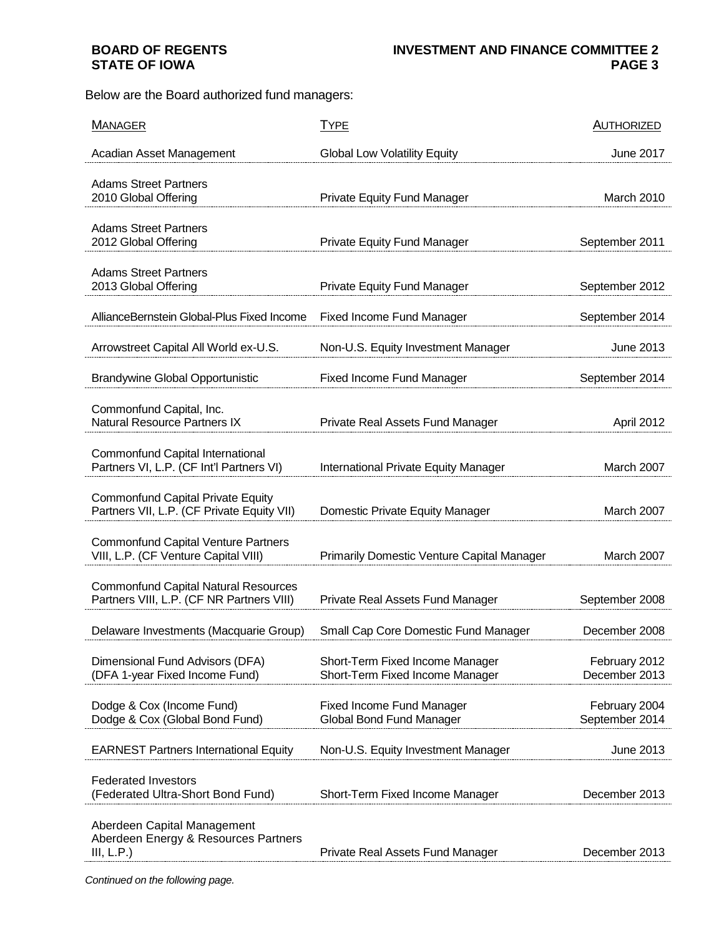# **BOARD OF REGENTS STATE OF IOWA**

Below are the Board authorized fund managers:

| <b>MANAGER</b>                                                                           | <b>TYPE</b>                                                        | <b>AUTHORIZED</b>               |
|------------------------------------------------------------------------------------------|--------------------------------------------------------------------|---------------------------------|
| Acadian Asset Management                                                                 | <b>Global Low Volatility Equity</b>                                | <b>June 2017</b>                |
| <b>Adams Street Partners</b><br>2010 Global Offering                                     | <b>Private Equity Fund Manager</b>                                 | March 2010                      |
| <b>Adams Street Partners</b><br>2012 Global Offering                                     | <b>Private Equity Fund Manager</b>                                 | September 2011                  |
| <b>Adams Street Partners</b><br>2013 Global Offering                                     | <b>Private Equity Fund Manager</b>                                 | September 2012                  |
| AllianceBernstein Global-Plus Fixed Income                                               | <b>Fixed Income Fund Manager</b>                                   | September 2014                  |
| Arrowstreet Capital All World ex-U.S.                                                    | Non-U.S. Equity Investment Manager                                 | June 2013                       |
| <b>Brandywine Global Opportunistic</b>                                                   | <b>Fixed Income Fund Manager</b>                                   | September 2014                  |
| Commonfund Capital, Inc.<br><b>Natural Resource Partners IX</b>                          | Private Real Assets Fund Manager                                   | April 2012                      |
| Commonfund Capital International<br>Partners VI, L.P. (CF Int'l Partners VI)             | International Private Equity Manager                               | March 2007                      |
| <b>Commonfund Capital Private Equity</b><br>Partners VII, L.P. (CF Private Equity VII)   | Domestic Private Equity Manager                                    | March 2007                      |
| <b>Commonfund Capital Venture Partners</b><br>VIII, L.P. (CF Venture Capital VIII)       | <b>Primarily Domestic Venture Capital Manager</b>                  | March 2007                      |
| <b>Commonfund Capital Natural Resources</b><br>Partners VIII, L.P. (CF NR Partners VIII) | Private Real Assets Fund Manager                                   | September 2008                  |
| Delaware Investments (Macquarie Group)                                                   | Small Cap Core Domestic Fund Manager                               | December 2008                   |
| Dimensional Fund Advisors (DFA)<br>(DFA 1-year Fixed Income Fund)                        | Short-Term Fixed Income Manager<br>Short-Term Fixed Income Manager | February 2012<br>December 2013  |
| Dodge & Cox (Income Fund)<br>Dodge & Cox (Global Bond Fund)                              | <b>Fixed Income Fund Manager</b><br>Global Bond Fund Manager       | February 2004<br>September 2014 |
| <b>EARNEST Partners International Equity</b>                                             | Non-U.S. Equity Investment Manager                                 | June 2013                       |
| <b>Federated Investors</b><br>(Federated Ultra-Short Bond Fund)                          | Short-Term Fixed Income Manager                                    | December 2013                   |
| Aberdeen Capital Management<br>Aberdeen Energy & Resources Partners<br>III, L.P.         | Private Real Assets Fund Manager                                   | December 2013                   |

*Continued on the following page.*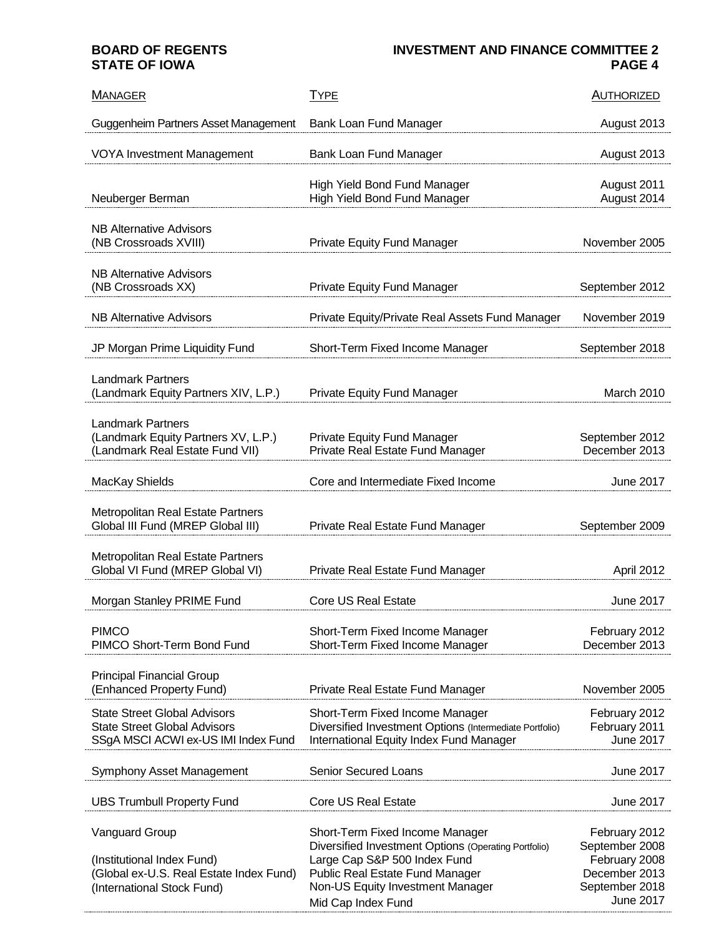## **BOARD OF REGENTS STATE OF IOWA**

# **INVESTMENT AND FINANCE COMMITTEE 2 PAGE 4**

| <b>MANAGER</b>                                                                                                               | <b>TYPE</b>                                                                                                                                                                                                          | <b>AUTHORIZED</b>                                                                                       |
|------------------------------------------------------------------------------------------------------------------------------|----------------------------------------------------------------------------------------------------------------------------------------------------------------------------------------------------------------------|---------------------------------------------------------------------------------------------------------|
| Guggenheim Partners Asset Management                                                                                         | Bank Loan Fund Manager                                                                                                                                                                                               | August 2013                                                                                             |
| <b>VOYA Investment Management</b>                                                                                            | Bank Loan Fund Manager                                                                                                                                                                                               | August 2013                                                                                             |
| Neuberger Berman                                                                                                             | <b>High Yield Bond Fund Manager</b><br>High Yield Bond Fund Manager                                                                                                                                                  | August 2011<br>August 2014                                                                              |
| <b>NB Alternative Advisors</b><br>(NB Crossroads XVIII)                                                                      | Private Equity Fund Manager                                                                                                                                                                                          | November 2005                                                                                           |
| NB Alternative Advisors<br>(NB Crossroads XX)                                                                                | <b>Private Equity Fund Manager</b>                                                                                                                                                                                   | September 2012                                                                                          |
| <b>NB Alternative Advisors</b>                                                                                               | Private Equity/Private Real Assets Fund Manager                                                                                                                                                                      | November 2019                                                                                           |
| JP Morgan Prime Liquidity Fund                                                                                               | Short-Term Fixed Income Manager                                                                                                                                                                                      | September 2018                                                                                          |
| <b>Landmark Partners</b><br>(Landmark Equity Partners XIV, L.P.)                                                             | <b>Private Equity Fund Manager</b>                                                                                                                                                                                   | March 2010                                                                                              |
| <b>Landmark Partners</b><br>(Landmark Equity Partners XV, L.P.)<br>(Landmark Real Estate Fund VII)                           | Private Equity Fund Manager<br>Private Real Estate Fund Manager                                                                                                                                                      | September 2012<br>December 2013                                                                         |
| MacKay Shields                                                                                                               | Core and Intermediate Fixed Income                                                                                                                                                                                   | <b>June 2017</b>                                                                                        |
| Metropolitan Real Estate Partners<br>Global III Fund (MREP Global III)                                                       | Private Real Estate Fund Manager                                                                                                                                                                                     | September 2009                                                                                          |
| Metropolitan Real Estate Partners<br>Global VI Fund (MREP Global VI)                                                         | Private Real Estate Fund Manager                                                                                                                                                                                     | April 2012                                                                                              |
| Morgan Stanley PRIME Fund                                                                                                    | <b>Core US Real Estate</b>                                                                                                                                                                                           | <b>June 2017</b>                                                                                        |
| <b>PIMCO</b><br>PIMCO Short-Term Bond Fund                                                                                   | Short-Term Fixed Income Manager<br>Short-Term Fixed Income Manager                                                                                                                                                   | February 2012<br>December 2013                                                                          |
| <b>Principal Financial Group</b><br>(Enhanced Property Fund)                                                                 | Private Real Estate Fund Manager                                                                                                                                                                                     | November 2005                                                                                           |
| <b>State Street Global Advisors</b><br><b>State Street Global Advisors</b><br>SSgA MSCI ACWI ex-US IMI Index Fund            | Short-Term Fixed Income Manager<br>Diversified Investment Options (Intermediate Portfolio)<br>International Equity Index Fund Manager                                                                                | February 2012<br>February 2011<br><b>June 2017</b>                                                      |
| Symphony Asset Management                                                                                                    | <b>Senior Secured Loans</b>                                                                                                                                                                                          | June 2017                                                                                               |
| <b>UBS Trumbull Property Fund</b>                                                                                            | <b>Core US Real Estate</b>                                                                                                                                                                                           | June 2017                                                                                               |
| <b>Vanguard Group</b><br>(Institutional Index Fund)<br>(Global ex-U.S. Real Estate Index Fund)<br>(International Stock Fund) | Short-Term Fixed Income Manager<br>Diversified Investment Options (Operating Portfolio)<br>Large Cap S&P 500 Index Fund<br>Public Real Estate Fund Manager<br>Non-US Equity Investment Manager<br>Mid Cap Index Fund | February 2012<br>September 2008<br>February 2008<br>December 2013<br>September 2018<br><b>June 2017</b> |